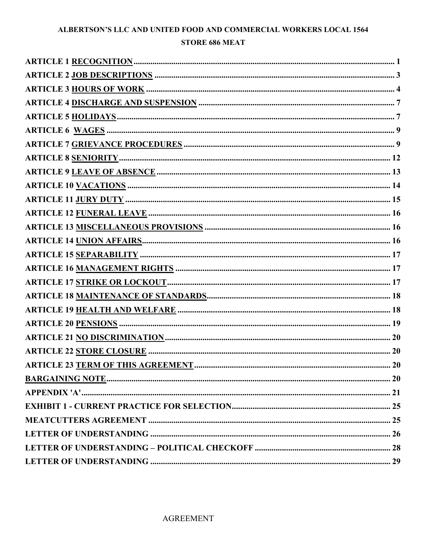# ALBERTSON'S LLC AND UNITED FOOD AND COMMERCIAL WORKERS LOCAL 1564 **STORE 686 MEAT**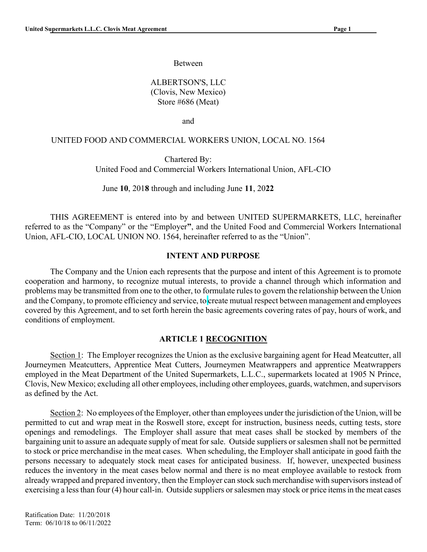Between

### ALBERTSON'S, LLC (Clovis, New Mexico) Store #686 (Meat)

**and and and** 

#### UNITED FOOD AND COMMERCIAL WORKERS UNION, LOCAL NO. 1564

 Chartered By: United Food and Commercial Workers International Union, AFL-CIO

June 10, 2018 through and including June 11, 2022

THIS AGREEMENT is entered into by and between UNITED SUPERMARKETS, LLC, hereinafter referred to as the "Company" or the "Employer", and the United Food and Commercial Workers International Union, AFL-CIO, LOCAL UNION NO. 1564, hereinafter referred to as the "Union".

#### INTENT AND PURPOSE

The Company and the Union each represents that the purpose and intent of this Agreement is to promote cooperation and harmony, to recognize mutual interests, to provide a channel through which information and problems may be transmitted from one to the other, to formulate rules to govern the relationship between the Union and the Company, to promote efficiency and service, to create mutual respect between management and employees covered by this Agreement, and to set forth herein the basic agreements covering rates of pay, hours of work, and conditions of employment.

## ARTICLE 1 RECOGNITION

Section 1: The Employer recognizes the Union as the exclusive bargaining agent for Head Meatcutter, all Journeymen Meatcutters, Apprentice Meat Cutters, Journeymen Meatwrappers and apprentice Meatwrappers employed in the Meat Department of the United Supermarkets, L.L.C., supermarkets located at 1905 N Prince, Clovis, New Mexico; excluding all other employees, including other employees, guards, watchmen, and supervisors as defined by the Act.

Section 2: No employees of the Employer, other than employees under the jurisdiction of the Union, will be permitted to cut and wrap meat in the Roswell store, except for instruction, business needs, cutting tests, store openings and remodelings. The Employer shall assure that meat cases shall be stocked by members of the bargaining unit to assure an adequate supply of meat for sale. Outside suppliers or salesmen shall not be permitted to stock or price merchandise in the meat cases. When scheduling, the Employer shall anticipate in good faith the persons necessary to adequately stock meat cases for anticipated business. If, however, unexpected business reduces the inventory in the meat cases below normal and there is no meat employee available to restock from already wrapped and prepared inventory, then the Employer can stock such merchandise with supervisors instead of exercising a less than four (4) hour call-in. Outside suppliers or salesmen may stock or price items in the meat cases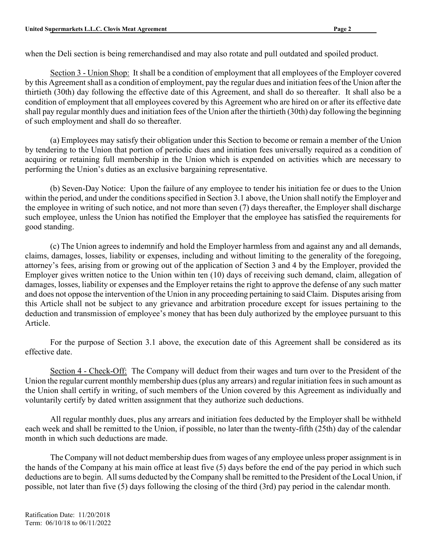when the Deli section is being remerchandised and may also rotate and pull outdated and spoiled product.

Section 3 - Union Shop: It shall be a condition of employment that all employees of the Employer covered by this Agreement shall as a condition of employment, pay the regular dues and initiation fees of the Union after the thirtieth (30th) day following the effective date of this Agreement, and shall do so thereafter. It shall also be a condition of employment that all employees covered by this Agreement who are hired on or after its effective date shall pay regular monthly dues and initiation fees of the Union after the thirtieth (30th) day following the beginning of such employment and shall do so thereafter.

(a) Employees may satisfy their obligation under this Section to become or remain a member of the Union by tendering to the Union that portion of periodic dues and initiation fees universally required as a condition of acquiring or retaining full membership in the Union which is expended on activities which are necessary to performing the Union's duties as an exclusive bargaining representative.

(b) Seven-Day Notice: Upon the failure of any employee to tender his initiation fee or dues to the Union within the period, and under the conditions specified in Section 3.1 above, the Union shall notify the Employer and the employee in writing of such notice, and not more than seven (7) days thereafter, the Employer shall discharge such employee, unless the Union has notified the Employer that the employee has satisfied the requirements for good standing.

(c) The Union agrees to indemnify and hold the Employer harmless from and against any and all demands, claims, damages, losses, liability or expenses, including and without limiting to the generality of the foregoing, attorney's fees, arising from or growing out of the application of Section 3 and 4 by the Employer, provided the Employer gives written notice to the Union within ten (10) days of receiving such demand, claim, allegation of damages, losses, liability or expenses and the Employer retains the right to approve the defense of any such matter and does not oppose the intervention of the Union in any proceeding pertaining to said Claim. Disputes arising from this Article shall not be subject to any grievance and arbitration procedure except for issues pertaining to the deduction and transmission of employee's money that has been duly authorized by the employee pursuant to this Article.

For the purpose of Section 3.1 above, the execution date of this Agreement shall be considered as its effective date.

Section 4 - Check-Off: The Company will deduct from their wages and turn over to the President of the Union the regular current monthly membership dues (plus any arrears) and regular initiation fees in such amount as the Union shall certify in writing, of such members of the Union covered by this Agreement as individually and voluntarily certify by dated written assignment that they authorize such deductions.

All regular monthly dues, plus any arrears and initiation fees deducted by the Employer shall be withheld each week and shall be remitted to the Union, if possible, no later than the twenty-fifth (25th) day of the calendar month in which such deductions are made.

The Company will not deduct membership dues from wages of any employee unless proper assignment is in the hands of the Company at his main office at least five (5) days before the end of the pay period in which such deductions are to begin. All sums deducted by the Company shall be remitted to the President of the Local Union, if possible, not later than five (5) days following the closing of the third (3rd) pay period in the calendar month.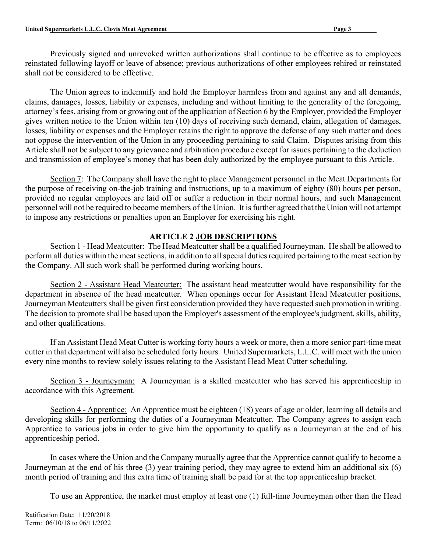Previously signed and unrevoked written authorizations shall continue to be effective as to employees reinstated following layoff or leave of absence; previous authorizations of other employees rehired or reinstated shall not be considered to be effective.

The Union agrees to indemnify and hold the Employer harmless from and against any and all demands, claims, damages, losses, liability or expenses, including and without limiting to the generality of the foregoing, attorney's fees, arising from or growing out of the application of Section 6 by the Employer, provided the Employer gives written notice to the Union within ten (10) days of receiving such demand, claim, allegation of damages, losses, liability or expenses and the Employer retains the right to approve the defense of any such matter and does not oppose the intervention of the Union in any proceeding pertaining to said Claim. Disputes arising from this Article shall not be subject to any grievance and arbitration procedure except for issues pertaining to the deduction and transmission of employee's money that has been duly authorized by the employee pursuant to this Article.

Section 7: The Company shall have the right to place Management personnel in the Meat Departments for the purpose of receiving on-the-job training and instructions, up to a maximum of eighty (80) hours per person, provided no regular employees are laid off or suffer a reduction in their normal hours, and such Management personnel will not be required to become members of the Union. It is further agreed that the Union will not attempt to impose any restrictions or penalties upon an Employer for exercising his right.

#### ARTICLE 2 JOB DESCRIPTIONS

Section 1 - Head Meatcutter: The Head Meatcutter shall be a qualified Journeyman. He shall be allowed to perform all duties within the meat sections, in addition to all special duties required pertaining to the meat section by the Company. All such work shall be performed during working hours.

Section 2 - Assistant Head Meatcutter: The assistant head meatcutter would have responsibility for the department in absence of the head meatcutter. When openings occur for Assistant Head Meatcutter positions, Journeyman Meatcutters shall be given first consideration provided they have requested such promotion in writing. The decision to promote shall be based upon the Employer's assessment of the employee's judgment, skills, ability, and other qualifications.

If an Assistant Head Meat Cutter is working forty hours a week or more, then a more senior part-time meat cutter in that department will also be scheduled forty hours. United Supermarkets, L.L.C. will meet with the union every nine months to review solely issues relating to the Assistant Head Meat Cutter scheduling.

Section 3 - Journeyman: A Journeyman is a skilled meatcutter who has served his apprenticeship in accordance with this Agreement.

Section 4 - Apprentice: An Apprentice must be eighteen (18) years of age or older, learning all details and developing skills for performing the duties of a Journeyman Meatcutter. The Company agrees to assign each Apprentice to various jobs in order to give him the opportunity to qualify as a Journeyman at the end of his apprenticeship period.

In cases where the Union and the Company mutually agree that the Apprentice cannot qualify to become a Journeyman at the end of his three (3) year training period, they may agree to extend him an additional six (6) month period of training and this extra time of training shall be paid for at the top apprenticeship bracket.

To use an Apprentice, the market must employ at least one (1) full-time Journeyman other than the Head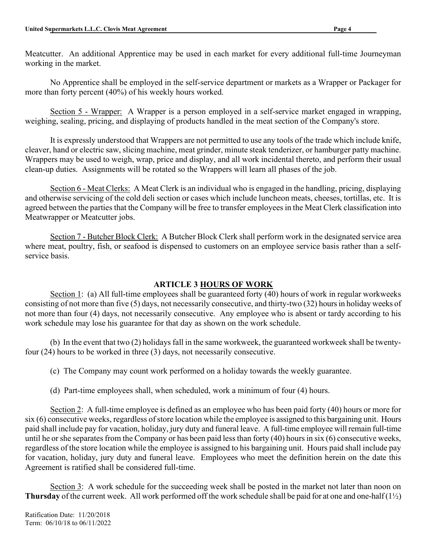Meatcutter. An additional Apprentice may be used in each market for every additional full-time Journeyman working in the market.

No Apprentice shall be employed in the self-service department or markets as a Wrapper or Packager for more than forty percent (40%) of his weekly hours worked.

Section 5 - Wrapper: A Wrapper is a person employed in a self-service market engaged in wrapping, weighing, sealing, pricing, and displaying of products handled in the meat section of the Company's store.

It is expressly understood that Wrappers are not permitted to use any tools of the trade which include knife, cleaver, hand or electric saw, slicing machine, meat grinder, minute steak tenderizer, or hamburger patty machine. Wrappers may be used to weigh, wrap, price and display, and all work incidental thereto, and perform their usual clean-up duties. Assignments will be rotated so the Wrappers will learn all phases of the job.

Section 6 - Meat Clerks: A Meat Clerk is an individual who is engaged in the handling, pricing, displaying and otherwise servicing of the cold deli section or cases which include luncheon meats, cheeses, tortillas, etc. It is agreed between the parties that the Company will be free to transfer employees in the Meat Clerk classification into Meatwrapper or Meatcutter jobs.

Section 7 - Butcher Block Clerk: A Butcher Block Clerk shall perform work in the designated service area where meat, poultry, fish, or seafood is dispensed to customers on an employee service basis rather than a selfservice basis.

## ARTICLE 3 HOURS OF WORK

Section 1: (a) All full-time employees shall be guaranteed forty (40) hours of work in regular workweeks consisting of not more than five (5) days, not necessarily consecutive, and thirty-two (32) hours in holiday weeks of not more than four (4) days, not necessarily consecutive. Any employee who is absent or tardy according to his work schedule may lose his guarantee for that day as shown on the work schedule.

(b) In the event that two (2) holidays fall in the same workweek, the guaranteed workweek shall be twentyfour (24) hours to be worked in three (3) days, not necessarily consecutive.

(c) The Company may count work performed on a holiday towards the weekly guarantee.

(d) Part-time employees shall, when scheduled, work a minimum of four (4) hours.

Section 2: A full-time employee is defined as an employee who has been paid forty (40) hours or more for six (6) consecutive weeks, regardless of store location while the employee is assigned to this bargaining unit. Hours paid shall include pay for vacation, holiday, jury duty and funeral leave. A full-time employee will remain full-time until he or she separates from the Company or has been paid less than forty  $(40)$  hours in six  $(6)$  consecutive weeks, regardless of the store location while the employee is assigned to his bargaining unit. Hours paid shall include pay for vacation, holiday, jury duty and funeral leave. Employees who meet the definition herein on the date this Agreement is ratified shall be considered full-time.

Section 3: A work schedule for the succeeding week shall be posted in the market not later than noon on **Thursday** of the current week. All work performed off the work schedule shall be paid for at one and one-half  $(1\frac{1}{2})$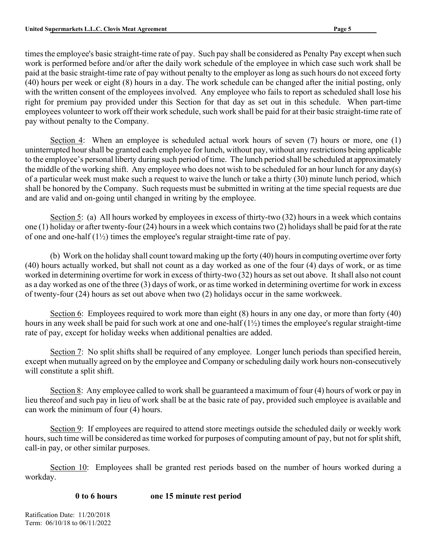times the employee's basic straight-time rate of pay. Such pay shall be considered as Penalty Pay except when such work is performed before and/or after the daily work schedule of the employee in which case such work shall be paid at the basic straight-time rate of pay without penalty to the employer as long as such hours do not exceed forty (40) hours per week or eight (8) hours in a day. The work schedule can be changed after the initial posting, only with the written consent of the employees involved. Any employee who fails to report as scheduled shall lose his right for premium pay provided under this Section for that day as set out in this schedule. When part-time employees volunteer to work off their work schedule, such work shall be paid for at their basic straight-time rate of pay without penalty to the Company.

Section 4: When an employee is scheduled actual work hours of seven (7) hours or more, one (1) uninterrupted hour shall be granted each employee for lunch, without pay, without any restrictions being applicable to the employee's personal liberty during such period of time. The lunch period shall be scheduled at approximately the middle of the working shift. Any employee who does not wish to be scheduled for an hour lunch for any day(s) of a particular week must make such a request to waive the lunch or take a thirty (30) minute lunch period, which shall be honored by the Company. Such requests must be submitted in writing at the time special requests are due and are valid and on-going until changed in writing by the employee.

Section 5: (a) All hours worked by employees in excess of thirty-two  $(32)$  hours in a week which contains one (1) holiday or after twenty-four (24) hours in a week which contains two (2) holidays shall be paid for at the rate of one and one-half  $(1\frac{1}{2})$  times the employee's regular straight-time rate of pay.

(b) Work on the holiday shall count toward making up the forty (40) hours in computing overtime over forty (40) hours actually worked, but shall not count as a day worked as one of the four (4) days of work, or as time worked in determining overtime for work in excess of thirty-two (32) hours as set out above. It shall also not count as a day worked as one of the three (3) days of work, or as time worked in determining overtime for work in excess of twenty-four (24) hours as set out above when two (2) holidays occur in the same workweek.

Section 6: Employees required to work more than eight (8) hours in any one day, or more than forty (40) hours in any week shall be paid for such work at one and one-half (1½) times the employee's regular straight-time rate of pay, except for holiday weeks when additional penalties are added.

Section 7: No split shifts shall be required of any employee. Longer lunch periods than specified herein, except when mutually agreed on by the employee and Company or scheduling daily work hours non-consecutively will constitute a split shift.

Section 8: Any employee called to work shall be guaranteed a maximum of four  $(4)$  hours of work or pay in lieu thereof and such pay in lieu of work shall be at the basic rate of pay, provided such employee is available and can work the minimum of four (4) hours.

Section 9: If employees are required to attend store meetings outside the scheduled daily or weekly work hours, such time will be considered as time worked for purposes of computing amount of pay, but not for split shift, call-in pay, or other similar purposes.

Section 10: Employees shall be granted rest periods based on the number of hours worked during a workday.

#### 0 to 6 hours one 15 minute rest period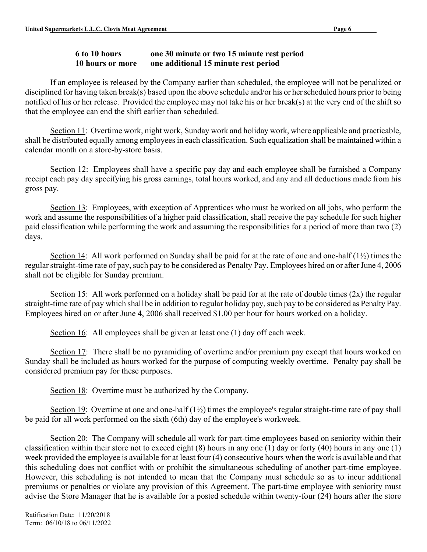#### 6 to 10 hours one 30 minute or two 15 minute rest period 10 hours or more one additional 15 minute rest period

 If an employee is released by the Company earlier than scheduled, the employee will not be penalized or disciplined for having taken break(s) based upon the above schedule and/or his or her scheduled hours prior to being notified of his or her release. Provided the employee may not take his or her break(s) at the very end of the shift so that the employee can end the shift earlier than scheduled.

Section 11: Overtime work, night work, Sunday work and holiday work, where applicable and practicable, shall be distributed equally among employees in each classification. Such equalization shall be maintained within a calendar month on a store-by-store basis.

Section 12: Employees shall have a specific pay day and each employee shall be furnished a Company receipt each pay day specifying his gross earnings, total hours worked, and any and all deductions made from his gross pay.

Section 13: Employees, with exception of Apprentices who must be worked on all jobs, who perform the work and assume the responsibilities of a higher paid classification, shall receive the pay schedule for such higher paid classification while performing the work and assuming the responsibilities for a period of more than two (2) days.

Section 14: All work performed on Sunday shall be paid for at the rate of one and one-half (1½) times the regular straight-time rate of pay, such pay to be considered as Penalty Pay. Employees hired on or after June 4, 2006 shall not be eligible for Sunday premium.

Section 15: All work performed on a holiday shall be paid for at the rate of double times  $(2x)$  the regular straight-time rate of pay which shall be in addition to regular holiday pay, such pay to be considered as Penalty Pay. Employees hired on or after June 4, 2006 shall received \$1.00 per hour for hours worked on a holiday.

Section 16: All employees shall be given at least one (1) day off each week.

Section 17: There shall be no pyramiding of overtime and/or premium pay except that hours worked on Sunday shall be included as hours worked for the purpose of computing weekly overtime. Penalty pay shall be considered premium pay for these purposes.

Section 18: Overtime must be authorized by the Company.

Section 19: Overtime at one and one-half  $(1\frac{1}{2})$  times the employee's regular straight-time rate of pay shall be paid for all work performed on the sixth (6th) day of the employee's workweek.

Section 20: The Company will schedule all work for part-time employees based on seniority within their classification within their store not to exceed eight (8) hours in any one (1) day or forty (40) hours in any one (1) week provided the employee is available for at least four (4) consecutive hours when the work is available and that this scheduling does not conflict with or prohibit the simultaneous scheduling of another part-time employee. However, this scheduling is not intended to mean that the Company must schedule so as to incur additional premiums or penalties or violate any provision of this Agreement. The part-time employee with seniority must advise the Store Manager that he is available for a posted schedule within twenty-four (24) hours after the store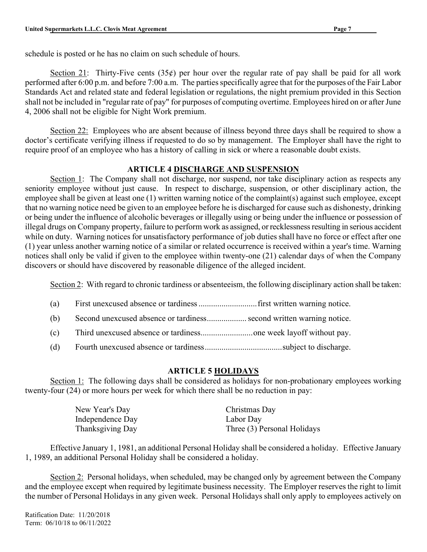schedule is posted or he has no claim on such schedule of hours.

Section 21: Thirty-Five cents (35 $\phi$ ) per hour over the regular rate of pay shall be paid for all work performed after 6:00 p.m. and before 7:00 a.m. The parties specifically agree that for the purposes of the Fair Labor Standards Act and related state and federal legislation or regulations, the night premium provided in this Section shall not be included in "regular rate of pay" for purposes of computing overtime. Employees hired on or after June 4, 2006 shall not be eligible for Night Work premium.

Section 22: Employees who are absent because of illness beyond three days shall be required to show a doctor's certificate verifying illness if requested to do so by management. The Employer shall have the right to require proof of an employee who has a history of calling in sick or where a reasonable doubt exists.

## ARTICLE 4 DISCHARGE AND SUSPENSION

Section 1: The Company shall not discharge, nor suspend, nor take disciplinary action as respects any seniority employee without just cause. In respect to discharge, suspension, or other disciplinary action, the employee shall be given at least one (1) written warning notice of the complaint(s) against such employee, except that no warning notice need be given to an employee before he is discharged for cause such as dishonesty, drinking or being under the influence of alcoholic beverages or illegally using or being under the influence or possession of illegal drugs on Company property, failure to perform work as assigned, or recklessness resulting in serious accident while on duty. Warning notices for unsatisfactory performance of job duties shall have no force or effect after one (1) year unless another warning notice of a similar or related occurrence is received within a year's time. Warning notices shall only be valid if given to the employee within twenty-one (21) calendar days of when the Company discovers or should have discovered by reasonable diligence of the alleged incident.

Section 2: With regard to chronic tardiness or absenteeism, the following disciplinary action shall be taken:

- (a) First unexcused absence or tardiness ............................ first written warning notice.
- (b) Second unexcused absence or tardiness ................... second written warning notice.
- (c) Third unexcused absence or tardiness......................... one week layoff without pay.
- (d) Fourth unexcused absence or tardiness ..................................... subject to discharge.

## ARTICLE 5 HOLIDAYS

Section 1: The following days shall be considered as holidays for non-probationary employees working twenty-four (24) or more hours per week for which there shall be no reduction in pay:

| New Year's Day   | Christmas Day               |
|------------------|-----------------------------|
| Independence Day | Labor Day                   |
| Thanksgiving Day | Three (3) Personal Holidays |

Effective January 1, 1981, an additional Personal Holiday shall be considered a holiday. Effective January 1, 1989, an additional Personal Holiday shall be considered a holiday.

Section 2: Personal holidays, when scheduled, may be changed only by agreement between the Company and the employee except when required by legitimate business necessity. The Employer reserves the right to limit the number of Personal Holidays in any given week. Personal Holidays shall only apply to employees actively on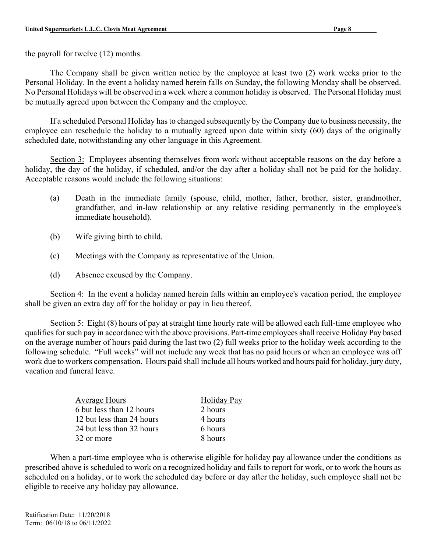the payroll for twelve (12) months.

The Company shall be given written notice by the employee at least two (2) work weeks prior to the Personal Holiday. In the event a holiday named herein falls on Sunday, the following Monday shall be observed. No Personal Holidays will be observed in a week where a common holiday is observed. The Personal Holiday must be mutually agreed upon between the Company and the employee.

If a scheduled Personal Holiday has to changed subsequently by the Company due to business necessity, the employee can reschedule the holiday to a mutually agreed upon date within sixty (60) days of the originally scheduled date, notwithstanding any other language in this Agreement.

Section 3: Employees absenting themselves from work without acceptable reasons on the day before a holiday, the day of the holiday, if scheduled, and/or the day after a holiday shall not be paid for the holiday. Acceptable reasons would include the following situations:

- (a) Death in the immediate family (spouse, child, mother, father, brother, sister, grandmother, grandfather, and in-law relationship or any relative residing permanently in the employee's immediate household).
- (b) Wife giving birth to child.
- (c) Meetings with the Company as representative of the Union.
- (d) Absence excused by the Company.

Section 4: In the event a holiday named herein falls within an employee's vacation period, the employee shall be given an extra day off for the holiday or pay in lieu thereof.

Section 5: Eight (8) hours of pay at straight time hourly rate will be allowed each full-time employee who qualifies for such pay in accordance with the above provisions. Part-time employees shall receive Holiday Pay based on the average number of hours paid during the last two (2) full weeks prior to the holiday week according to the following schedule. "Full weeks" will not include any week that has no paid hours or when an employee was off work due to workers compensation. Hours paid shall include all hours worked and hours paid for holiday, jury duty, vacation and funeral leave.

| Average Hours             | Holiday Pay |
|---------------------------|-------------|
| 6 but less than 12 hours  | 2 hours     |
| 12 but less than 24 hours | 4 hours     |
| 24 but less than 32 hours | 6 hours     |
| 32 or more                | 8 hours     |

When a part-time employee who is otherwise eligible for holiday pay allowance under the conditions as prescribed above is scheduled to work on a recognized holiday and fails to report for work, or to work the hours as scheduled on a holiday, or to work the scheduled day before or day after the holiday, such employee shall not be eligible to receive any holiday pay allowance.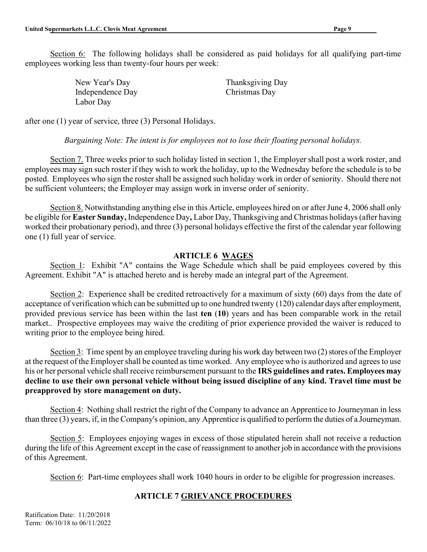Section 6: The following holidays shall be considered as paid holidays for all qualifying part-time employees working less than twenty-four hours per week:

> New Year's Day Thanksgiving Day Independence Day Christmas Day Labor Day

after one (1) year of service, three (3) Personal Holidays.

Bargaining Note: The intent is for employees not to lose their floating personal holidays.

Section 7. Three weeks prior to such holiday listed in section 1, the Employer shall post a work roster, and employees may sign such roster if they wish to work the holiday, up to the Wednesday before the schedule is to be posted. Employees who sign the roster shall be assigned such holiday work in order of seniority. Should there not be sufficient volunteers; the Employer may assign work in inverse order of seniority.

Section 8. Notwithstanding anything else in this Article, employees hired on or after June 4, 2006 shall only be eligible for Easter Sunday, Independence Day, Labor Day, Thanksgiving and Christmas holidays (after having worked their probationary period), and three (3) personal holidays effective the first of the calendar year following one (1) full year of service.

## ARTICLE 6 WAGES

Section 1: Exhibit "A" contains the Wage Schedule which shall be paid employees covered by this Agreement. Exhibit "A" is attached hereto and is hereby made an integral part of the Agreement.

Section 2: Experience shall be credited retroactively for a maximum of sixty (60) days from the date of acceptance of verification which can be submitted up to one hundred twenty (120) calendar days after employment, provided previous service has been within the last ten (10) years and has been comparable work in the retail market.. Prospective employees may waive the crediting of prior experience provided the waiver is reduced to writing prior to the employee being hired.

Section 3: Time spent by an employee traveling during his work day between two (2) stores of the Employer at the request of the Employer shall be counted as time worked. Any employee who is authorized and agrees to use his or her personal vehicle shall receive reimbursement pursuant to the IRS guidelines and rates. Employees may decline to use their own personal vehicle without being issued discipline of any kind. Travel time must be preapproved by store management on duty.

Section 4: Nothing shall restrict the right of the Company to advance an Apprentice to Journeyman in less than three (3) years, if, in the Company's opinion, any Apprentice is qualified to perform the duties of a Journeyman.

Section 5: Employees enjoying wages in excess of those stipulated herein shall not receive a reduction during the life of this Agreement except in the case of reassignment to another job in accordance with the provisions of this Agreement.

Section 6: Part-time employees shall work 1040 hours in order to be eligible for progression increases.

## ARTICLE 7 GRIEVANCE PROCEDURES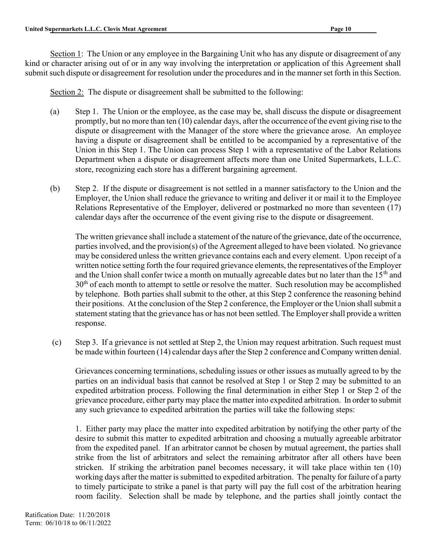Section 1: The Union or any employee in the Bargaining Unit who has any dispute or disagreement of any kind or character arising out of or in any way involving the interpretation or application of this Agreement shall submit such dispute or disagreement for resolution under the procedures and in the manner set forth in this Section.

Section 2: The dispute or disagreement shall be submitted to the following:

- (a) Step 1. The Union or the employee, as the case may be, shall discuss the dispute or disagreement promptly, but no more than ten (10) calendar days, after the occurrence of the event giving rise to the dispute or disagreement with the Manager of the store where the grievance arose. An employee having a dispute or disagreement shall be entitled to be accompanied by a representative of the Union in this Step 1. The Union can process Step 1 with a representative of the Labor Relations Department when a dispute or disagreement affects more than one United Supermarkets, L.L.C. store, recognizing each store has a different bargaining agreement.
- (b) Step 2. If the dispute or disagreement is not settled in a manner satisfactory to the Union and the Employer, the Union shall reduce the grievance to writing and deliver it or mail it to the Employee Relations Representative of the Employer, delivered or postmarked no more than seventeen (17) calendar days after the occurrence of the event giving rise to the dispute or disagreement.

The written grievance shall include a statement of the nature of the grievance, date of the occurrence, parties involved, and the provision(s) of the Agreement alleged to have been violated. No grievance may be considered unless the written grievance contains each and every element. Upon receipt of a written notice setting forth the four required grievance elements, the representatives of the Employer and the Union shall confer twice a month on mutually agreeable dates but no later than the  $15<sup>th</sup>$  and  $30<sup>th</sup>$  of each month to attempt to settle or resolve the matter. Such resolution may be accomplished by telephone. Both parties shall submit to the other, at this Step 2 conference the reasoning behind their positions. At the conclusion of the Step 2 conference, the Employer or the Union shall submit a statement stating that the grievance has or has not been settled. The Employer shall provide a written response.

(c) Step 3. If a grievance is not settled at Step 2, the Union may request arbitration. Such request must be made within fourteen (14) calendar days after the Step 2 conference and Company written denial.

Grievances concerning terminations, scheduling issues or other issues as mutually agreed to by the parties on an individual basis that cannot be resolved at Step 1 or Step 2 may be submitted to an expedited arbitration process. Following the final determination in either Step 1 or Step 2 of the grievance procedure, either party may place the matter into expedited arbitration. In order to submit any such grievance to expedited arbitration the parties will take the following steps:

1. Either party may place the matter into expedited arbitration by notifying the other party of the desire to submit this matter to expedited arbitration and choosing a mutually agreeable arbitrator from the expedited panel. If an arbitrator cannot be chosen by mutual agreement, the parties shall strike from the list of arbitrators and select the remaining arbitrator after all others have been stricken. If striking the arbitration panel becomes necessary, it will take place within ten (10) working days after the matter is submitted to expedited arbitration. The penalty for failure of a party to timely participate to strike a panel is that party will pay the full cost of the arbitration hearing room facility. Selection shall be made by telephone, and the parties shall jointly contact the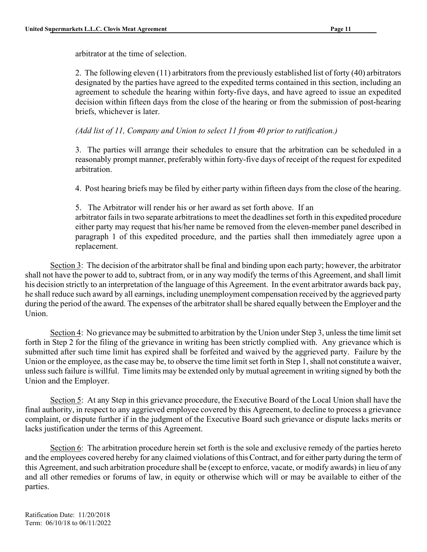arbitrator at the time of selection.

2. The following eleven (11) arbitrators from the previously established list of forty (40) arbitrators designated by the parties have agreed to the expedited terms contained in this section, including an agreement to schedule the hearing within forty-five days, and have agreed to issue an expedited decision within fifteen days from the close of the hearing or from the submission of post-hearing briefs, whichever is later.

(Add list of 11, Company and Union to select 11 from 40 prior to ratification.)

3. The parties will arrange their schedules to ensure that the arbitration can be scheduled in a reasonably prompt manner, preferably within forty-five days of receipt of the request for expedited arbitration.

4. Post hearing briefs may be filed by either party within fifteen days from the close of the hearing.

5. The Arbitrator will render his or her award as set forth above. If an arbitrator fails in two separate arbitrations to meet the deadlines set forth in this expedited procedure either party may request that his/her name be removed from the eleven-member panel described in paragraph 1 of this expedited procedure, and the parties shall then immediately agree upon a replacement.

Section 3: The decision of the arbitrator shall be final and binding upon each party; however, the arbitrator shall not have the power to add to, subtract from, or in any way modify the terms of this Agreement, and shall limit his decision strictly to an interpretation of the language of this Agreement. In the event arbitrator awards back pay, he shall reduce such award by all earnings, including unemployment compensation received by the aggrieved party during the period of the award. The expenses of the arbitrator shall be shared equally between the Employer and the Union.

Section 4: No grievance may be submitted to arbitration by the Union under Step 3, unless the time limit set forth in Step 2 for the filing of the grievance in writing has been strictly complied with. Any grievance which is submitted after such time limit has expired shall be forfeited and waived by the aggrieved party. Failure by the Union or the employee, as the case may be, to observe the time limit set forth in Step 1, shall not constitute a waiver, unless such failure is willful. Time limits may be extended only by mutual agreement in writing signed by both the Union and the Employer.

Section 5: At any Step in this grievance procedure, the Executive Board of the Local Union shall have the final authority, in respect to any aggrieved employee covered by this Agreement, to decline to process a grievance complaint, or dispute further if in the judgment of the Executive Board such grievance or dispute lacks merits or lacks justification under the terms of this Agreement.

Section 6: The arbitration procedure herein set forth is the sole and exclusive remedy of the parties hereto and the employees covered hereby for any claimed violations of this Contract, and for either party during the term of this Agreement, and such arbitration procedure shall be (except to enforce, vacate, or modify awards) in lieu of any and all other remedies or forums of law, in equity or otherwise which will or may be available to either of the parties.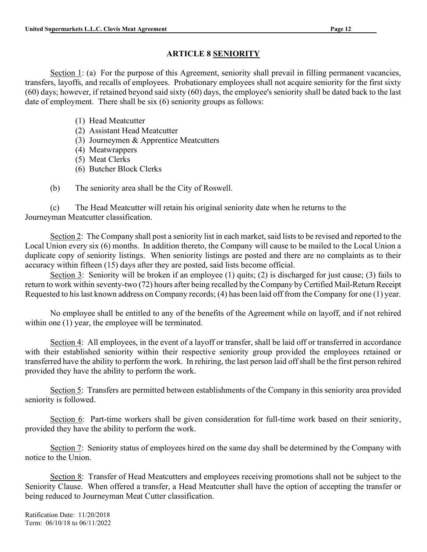## ARTICLE 8 SENIORITY

Section 1: (a) For the purpose of this Agreement, seniority shall prevail in filling permanent vacancies, transfers, layoffs, and recalls of employees. Probationary employees shall not acquire seniority for the first sixty (60) days; however, if retained beyond said sixty (60) days, the employee's seniority shall be dated back to the last date of employment. There shall be six (6) seniority groups as follows:

- (1) Head Meatcutter
- (2) Assistant Head Meatcutter
- (3) Journeymen & Apprentice Meatcutters
- (4) Meatwrappers
- (5) Meat Clerks
- (6) Butcher Block Clerks
- (b) The seniority area shall be the City of Roswell.

(c) The Head Meatcutter will retain his original seniority date when he returns to the Journeyman Meatcutter classification.

Section 2: The Company shall post a seniority list in each market, said lists to be revised and reported to the Local Union every six (6) months. In addition thereto, the Company will cause to be mailed to the Local Union a duplicate copy of seniority listings. When seniority listings are posted and there are no complaints as to their accuracy within fifteen (15) days after they are posted, said lists become official.

Section 3: Seniority will be broken if an employee (1) quits; (2) is discharged for just cause; (3) fails to return to work within seventy-two (72) hours after being recalled by the Company by Certified Mail-Return Receipt Requested to his last known address on Company records; (4) has been laid off from the Company for one (1) year.

No employee shall be entitled to any of the benefits of the Agreement while on layoff, and if not rehired within one (1) year, the employee will be terminated.

Section 4: All employees, in the event of a layoff or transfer, shall be laid off or transferred in accordance with their established seniority within their respective seniority group provided the employees retained or transferred have the ability to perform the work. In rehiring, the last person laid off shall be the first person rehired provided they have the ability to perform the work.

Section 5: Transfers are permitted between establishments of the Company in this seniority area provided seniority is followed.

Section 6: Part-time workers shall be given consideration for full-time work based on their seniority, provided they have the ability to perform the work.

Section 7: Seniority status of employees hired on the same day shall be determined by the Company with notice to the Union.

Section 8: Transfer of Head Meatcutters and employees receiving promotions shall not be subject to the Seniority Clause. When offered a transfer, a Head Meatcutter shall have the option of accepting the transfer or being reduced to Journeyman Meat Cutter classification.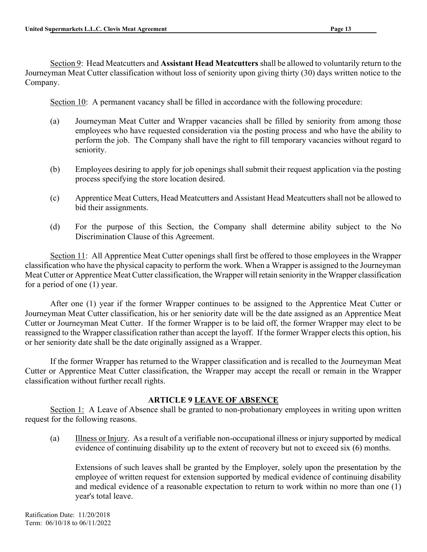Section 9: Head Meatcutters and Assistant Head Meatcutters shall be allowed to voluntarily return to the Journeyman Meat Cutter classification without loss of seniority upon giving thirty (30) days written notice to the Company.

Section 10: A permanent vacancy shall be filled in accordance with the following procedure:

- (a) Journeyman Meat Cutter and Wrapper vacancies shall be filled by seniority from among those employees who have requested consideration via the posting process and who have the ability to perform the job. The Company shall have the right to fill temporary vacancies without regard to seniority.
- (b) Employees desiring to apply for job openings shall submit their request application via the posting process specifying the store location desired.
- (c) Apprentice Meat Cutters, Head Meatcutters and Assistant Head Meatcutters shall not be allowed to bid their assignments.
- (d) For the purpose of this Section, the Company shall determine ability subject to the No Discrimination Clause of this Agreement.

Section 11: All Apprentice Meat Cutter openings shall first be offered to those employees in the Wrapper classification who have the physical capacity to perform the work. When a Wrapper is assigned to the Journeyman Meat Cutter or Apprentice Meat Cutter classification, the Wrapper will retain seniority in the Wrapper classification for a period of one (1) year.

After one (1) year if the former Wrapper continues to be assigned to the Apprentice Meat Cutter or Journeyman Meat Cutter classification, his or her seniority date will be the date assigned as an Apprentice Meat Cutter or Journeyman Meat Cutter. If the former Wrapper is to be laid off, the former Wrapper may elect to be reassigned to the Wrapper classification rather than accept the layoff. If the former Wrapper elects this option, his or her seniority date shall be the date originally assigned as a Wrapper.

If the former Wrapper has returned to the Wrapper classification and is recalled to the Journeyman Meat Cutter or Apprentice Meat Cutter classification, the Wrapper may accept the recall or remain in the Wrapper classification without further recall rights.

#### ARTICLE 9 LEAVE OF ABSENCE

Section 1: A Leave of Absence shall be granted to non-probationary employees in writing upon written request for the following reasons.

(a) Illness or Injury. As a result of a verifiable non-occupational illness or injury supported by medical evidence of continuing disability up to the extent of recovery but not to exceed six (6) months.

Extensions of such leaves shall be granted by the Employer, solely upon the presentation by the employee of written request for extension supported by medical evidence of continuing disability and medical evidence of a reasonable expectation to return to work within no more than one (1) year's total leave.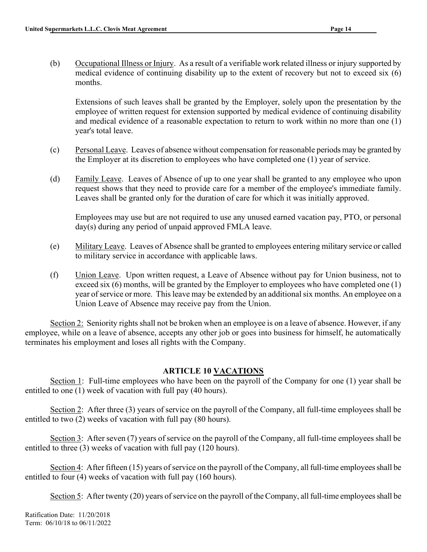(b) Occupational Illness or Injury. As a result of a verifiable work related illness or injury supported by medical evidence of continuing disability up to the extent of recovery but not to exceed six (6) months.

Extensions of such leaves shall be granted by the Employer, solely upon the presentation by the employee of written request for extension supported by medical evidence of continuing disability and medical evidence of a reasonable expectation to return to work within no more than one (1) year's total leave.

- (c) Personal Leave. Leaves of absence without compensation for reasonable periods may be granted by the Employer at its discretion to employees who have completed one (1) year of service.
- (d) Family Leave. Leaves of Absence of up to one year shall be granted to any employee who upon request shows that they need to provide care for a member of the employee's immediate family. Leaves shall be granted only for the duration of care for which it was initially approved.

 Employees may use but are not required to use any unused earned vacation pay, PTO, or personal day(s) during any period of unpaid approved FMLA leave.

- (e) Military Leave. Leaves of Absence shall be granted to employees entering military service or called to military service in accordance with applicable laws.
- (f) Union Leave. Upon written request, a Leave of Absence without pay for Union business, not to exceed six (6) months, will be granted by the Employer to employees who have completed one (1) year of service or more. This leave may be extended by an additional six months. An employee on a Union Leave of Absence may receive pay from the Union.

Section 2: Seniority rights shall not be broken when an employee is on a leave of absence. However, if any employee, while on a leave of absence, accepts any other job or goes into business for himself, he automatically terminates his employment and loses all rights with the Company.

## ARTICLE 10 VACATIONS

Section 1: Full-time employees who have been on the payroll of the Company for one (1) year shall be entitled to one (1) week of vacation with full pay (40 hours).

Section 2: After three (3) years of service on the payroll of the Company, all full-time employees shall be entitled to two (2) weeks of vacation with full pay (80 hours).

Section 3: After seven (7) years of service on the payroll of the Company, all full-time employees shall be entitled to three (3) weeks of vacation with full pay (120 hours).

Section 4: After fifteen (15) years of service on the payroll of the Company, all full-time employees shall be entitled to four (4) weeks of vacation with full pay (160 hours).

Section 5: After twenty (20) years of service on the payroll of the Company, all full-time employees shall be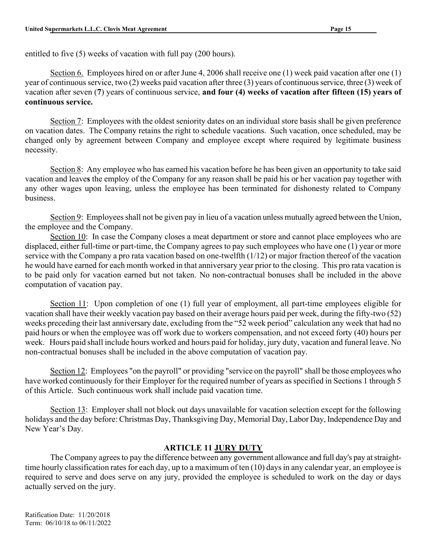entitled to five (5) weeks of vacation with full pay (200 hours).

Section 6. Employees hired on or after June 4, 2006 shall receive one (1) week paid vacation after one (1) year of continuous service, two (2) weeks paid vacation after three (3) years of continuous service, three (3) week of vacation after seven (7) years of continuous service, and four (4) weeks of vacation after fifteen (15) years of continuous service.

Section 7: Employees with the oldest seniority dates on an individual store basis shall be given preference on vacation dates. The Company retains the right to schedule vacations. Such vacation, once scheduled, may be changed only by agreement between Company and employee except where required by legitimate business necessity.

Section 8: Any employee who has earned his vacation before he has been given an opportunity to take said vacation and leaves the employ of the Company for any reason shall be paid his or her vacation pay together with any other wages upon leaving, unless the employee has been terminated for dishonesty related to Company business.

Section 9: Employees shall not be given pay in lieu of a vacation unless mutually agreed between the Union, the employee and the Company.

Section 10: In case the Company closes a meat department or store and cannot place employees who are displaced, either full-time or part-time, the Company agrees to pay such employees who have one (1) year or more service with the Company a pro rata vacation based on one-twelfth  $(1/12)$  or major fraction thereof of the vacation he would have earned for each month worked in that anniversary year prior to the closing. This pro rata vacation is to be paid only for vacation earned but not taken. No non-contractual bonuses shall be included in the above computation of vacation pay.

Section 11: Upon completion of one (1) full year of employment, all part-time employees eligible for vacation shall have their weekly vacation pay based on their average hours paid per week, during the fifty-two (52) weeks preceding their last anniversary date, excluding from the "52 week period" calculation any week that had no paid hours or when the employee was off work due to workers compensation, and not exceed forty (40) hours per week. Hours paid shall include hours worked and hours paid for holiday, jury duty, vacation and funeral leave. No non-contractual bonuses shall be included in the above computation of vacation pay.

Section 12: Employees "on the payroll" or providing "service on the payroll" shall be those employees who have worked continuously for their Employer for the required number of years as specified in Sections 1 through 5 of this Article. Such continuous work shall include paid vacation time.

Section 13: Employer shall not block out days unavailable for vacation selection except for the following holidays and the day before: Christmas Day, Thanksgiving Day, Memorial Day, Labor Day, Independence Day and New Year's Day.

## ARTICLE 11 JURY DUTY

The Company agrees to pay the difference between any government allowance and full day's pay at straighttime hourly classification rates for each day, up to a maximum of ten (10) days in any calendar year, an employee is required to serve and does serve on any jury, provided the employee is scheduled to work on the day or days actually served on the jury.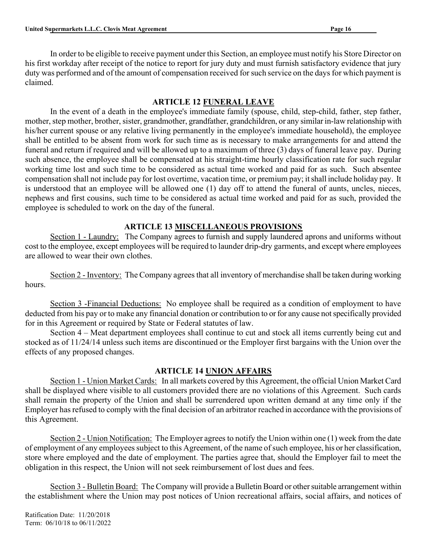In order to be eligible to receive payment under this Section, an employee must notify his Store Director on his first workday after receipt of the notice to report for jury duty and must furnish satisfactory evidence that jury duty was performed and of the amount of compensation received for such service on the days for which payment is claimed.

## ARTICLE 12 FUNERAL LEAVE

In the event of a death in the employee's immediate family (spouse, child, step-child, father, step father, mother, step mother, brother, sister, grandmother, grandfather, grandchildren, or any similar in-law relationship with his/her current spouse or any relative living permanently in the employee's immediate household), the employee shall be entitled to be absent from work for such time as is necessary to make arrangements for and attend the funeral and return if required and will be allowed up to a maximum of three (3) days of funeral leave pay. During such absence, the employee shall be compensated at his straight-time hourly classification rate for such regular working time lost and such time to be considered as actual time worked and paid for as such. Such absentee compensation shall not include pay for lost overtime, vacation time, or premium pay; it shall include holiday pay. It is understood that an employee will be allowed one (1) day off to attend the funeral of aunts, uncles, nieces, nephews and first cousins, such time to be considered as actual time worked and paid for as such, provided the employee is scheduled to work on the day of the funeral.

## ARTICLE 13 MISCELLANEOUS PROVISIONS

Section 1 - Laundry: The Company agrees to furnish and supply laundered aprons and uniforms without cost to the employee, except employees will be required to launder drip-dry garments, and except where employees are allowed to wear their own clothes.

Section 2 - Inventory: The Company agrees that all inventory of merchandise shall be taken during working hours.

Section 3 -Financial Deductions: No employee shall be required as a condition of employment to have deducted from his pay or to make any financial donation or contribution to or for any cause not specifically provided for in this Agreement or required by State or Federal statutes of law.

Section 4 – Meat department employees shall continue to cut and stock all items currently being cut and stocked as of 11/24/14 unless such items are discontinued or the Employer first bargains with the Union over the effects of any proposed changes.

## ARTICLE 14 UNION AFFAIRS

Section 1 - Union Market Cards: In all markets covered by this Agreement, the official Union Market Card shall be displayed where visible to all customers provided there are no violations of this Agreement. Such cards shall remain the property of the Union and shall be surrendered upon written demand at any time only if the Employer has refused to comply with the final decision of an arbitrator reached in accordance with the provisions of this Agreement.

Section 2 - Union Notification: The Employer agrees to notify the Union within one (1) week from the date of employment of any employees subject to this Agreement, of the name of such employee, his or her classification, store where employed and the date of employment. The parties agree that, should the Employer fail to meet the obligation in this respect, the Union will not seek reimbursement of lost dues and fees.

Section 3 - Bulletin Board: The Company will provide a Bulletin Board or other suitable arrangement within the establishment where the Union may post notices of Union recreational affairs, social affairs, and notices of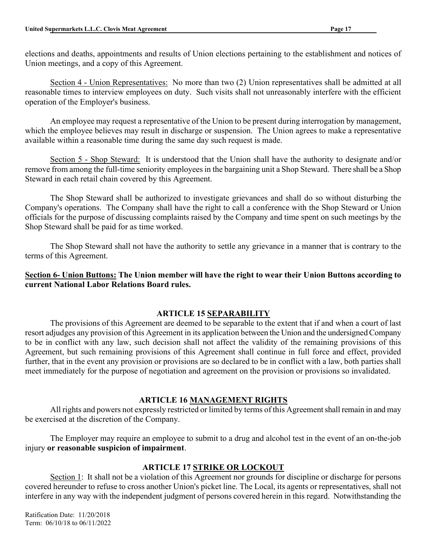elections and deaths, appointments and results of Union elections pertaining to the establishment and notices of Union meetings, and a copy of this Agreement.

Section 4 - Union Representatives: No more than two (2) Union representatives shall be admitted at all reasonable times to interview employees on duty. Such visits shall not unreasonably interfere with the efficient operation of the Employer's business.

An employee may request a representative of the Union to be present during interrogation by management, which the employee believes may result in discharge or suspension. The Union agrees to make a representative available within a reasonable time during the same day such request is made.

Section 5 - Shop Steward: It is understood that the Union shall have the authority to designate and/or remove from among the full-time seniority employees in the bargaining unit a Shop Steward. There shall be a Shop Steward in each retail chain covered by this Agreement.

The Shop Steward shall be authorized to investigate grievances and shall do so without disturbing the Company's operations. The Company shall have the right to call a conference with the Shop Steward or Union officials for the purpose of discussing complaints raised by the Company and time spent on such meetings by the Shop Steward shall be paid for as time worked.

The Shop Steward shall not have the authority to settle any grievance in a manner that is contrary to the terms of this Agreement.

Section 6- Union Buttons: The Union member will have the right to wear their Union Buttons according to current National Labor Relations Board rules.

## ARTICLE 15 SEPARABILITY

The provisions of this Agreement are deemed to be separable to the extent that if and when a court of last resort adjudges any provision of this Agreement in its application between the Union and the undersigned Company to be in conflict with any law, such decision shall not affect the validity of the remaining provisions of this Agreement, but such remaining provisions of this Agreement shall continue in full force and effect, provided further, that in the event any provision or provisions are so declared to be in conflict with a law, both parties shall meet immediately for the purpose of negotiation and agreement on the provision or provisions so invalidated.

## ARTICLE 16 MANAGEMENT RIGHTS

All rights and powers not expressly restricted or limited by terms of this Agreement shall remain in and may be exercised at the discretion of the Company.

The Employer may require an employee to submit to a drug and alcohol test in the event of an on-the-job injury or reasonable suspicion of impairment.

## ARTICLE 17 STRIKE OR LOCKOUT

Section 1: It shall not be a violation of this Agreement nor grounds for discipline or discharge for persons covered hereunder to refuse to cross another Union's picket line. The Local, its agents or representatives, shall not interfere in any way with the independent judgment of persons covered herein in this regard. Notwithstanding the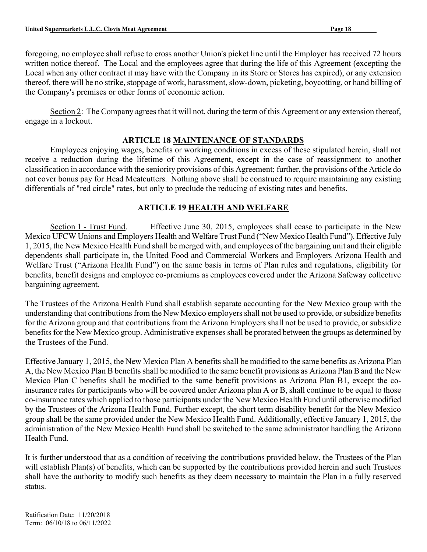foregoing, no employee shall refuse to cross another Union's picket line until the Employer has received 72 hours written notice thereof. The Local and the employees agree that during the life of this Agreement (excepting the Local when any other contract it may have with the Company in its Store or Stores has expired), or any extension thereof, there will be no strike, stoppage of work, harassment, slow-down, picketing, boycotting, or hand billing of the Company's premises or other forms of economic action.

Section 2: The Company agrees that it will not, during the term of this Agreement or any extension thereof, engage in a lockout.

### ARTICLE 18 MAINTENANCE OF STANDARDS

Employees enjoying wages, benefits or working conditions in excess of these stipulated herein, shall not receive a reduction during the lifetime of this Agreement, except in the case of reassignment to another classification in accordance with the seniority provisions of this Agreement; further, the provisions of the Article do not cover bonus pay for Head Meatcutters. Nothing above shall be construed to require maintaining any existing differentials of "red circle" rates, but only to preclude the reducing of existing rates and benefits.

## ARTICLE 19 HEALTH AND WELFARE

Section 1 - Trust Fund. Effective June 30, 2015, employees shall cease to participate in the New Mexico UFCW Unions and Employers Health and Welfare Trust Fund ("New Mexico Health Fund"). Effective July 1, 2015, the New Mexico Health Fund shall be merged with, and employees of the bargaining unit and their eligible dependents shall participate in, the United Food and Commercial Workers and Employers Arizona Health and Welfare Trust ("Arizona Health Fund") on the same basis in terms of Plan rules and regulations, eligibility for benefits, benefit designs and employee co-premiums as employees covered under the Arizona Safeway collective bargaining agreement.

The Trustees of the Arizona Health Fund shall establish separate accounting for the New Mexico group with the understanding that contributions from the New Mexico employers shall not be used to provide, or subsidize benefits for the Arizona group and that contributions from the Arizona Employers shall not be used to provide, or subsidize benefits for the New Mexico group. Administrative expenses shall be prorated between the groups as determined by the Trustees of the Fund.

Effective January 1, 2015, the New Mexico Plan A benefits shall be modified to the same benefits as Arizona Plan A, the New Mexico Plan B benefits shall be modified to the same benefit provisions as Arizona Plan B and the New Mexico Plan C benefits shall be modified to the same benefit provisions as Arizona Plan B1, except the coinsurance rates for participants who will be covered under Arizona plan A or B, shall continue to be equal to those co-insurance rates which applied to those participants under the New Mexico Health Fund until otherwise modified by the Trustees of the Arizona Health Fund. Further except, the short term disability benefit for the New Mexico group shall be the same provided under the New Mexico Health Fund. Additionally, effective January 1, 2015, the administration of the New Mexico Health Fund shall be switched to the same administrator handling the Arizona Health Fund.

It is further understood that as a condition of receiving the contributions provided below, the Trustees of the Plan will establish Plan(s) of benefits, which can be supported by the contributions provided herein and such Trustees shall have the authority to modify such benefits as they deem necessary to maintain the Plan in a fully reserved status.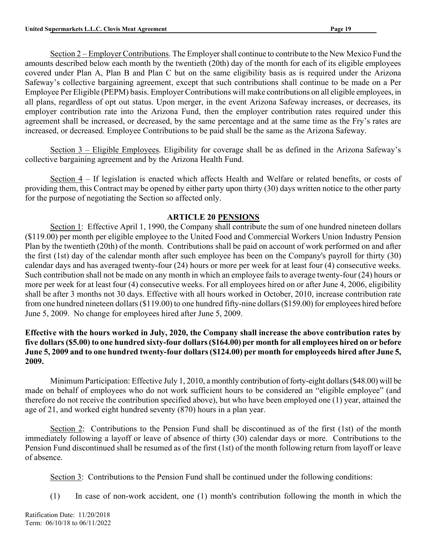Section 2 – Employer Contributions. The Employer shall continue to contribute to the New Mexico Fund the amounts described below each month by the twentieth (20th) day of the month for each of its eligible employees covered under Plan A, Plan B and Plan C but on the same eligibility basis as is required under the Arizona Safeway's collective bargaining agreement, except that such contributions shall continue to be made on a Per Employee Per Eligible (PEPM) basis. Employer Contributions will make contributions on all eligible employees, in all plans, regardless of opt out status. Upon merger, in the event Arizona Safeway increases, or decreases, its employer contribution rate into the Arizona Fund, then the employer contribution rates required under this agreement shall be increased, or decreased, by the same percentage and at the same time as the Fry's rates are increased, or decreased. Employee Contributions to be paid shall be the same as the Arizona Safeway.

Section 3 – Eligible Employees. Eligibility for coverage shall be as defined in the Arizona Safeway's collective bargaining agreement and by the Arizona Health Fund.

Section 4 – If legislation is enacted which affects Health and Welfare or related benefits, or costs of providing them, this Contract may be opened by either party upon thirty (30) days written notice to the other party for the purpose of negotiating the Section so affected only.

#### ARTICLE 20 PENSIONS

Section 1: Effective April 1, 1990, the Company shall contribute the sum of one hundred nineteen dollars (\$119.00) per month per eligible employee to the United Food and Commercial Workers Union Industry Pension Plan by the twentieth (20th) of the month. Contributions shall be paid on account of work performed on and after the first (1st) day of the calendar month after such employee has been on the Company's payroll for thirty (30) calendar days and has averaged twenty-four (24) hours or more per week for at least four (4) consecutive weeks. Such contribution shall not be made on any month in which an employee fails to average twenty-four (24) hours or more per week for at least four (4) consecutive weeks. For all employees hired on or after June 4, 2006, eligibility shall be after 3 months not 30 days. Effective with all hours worked in October, 2010, increase contribution rate from one hundred nineteen dollars (\$119.00) to one hundred fifty-nine dollars (\$159.00) for employees hired before June 5, 2009. No change for employees hired after June 5, 2009.

#### Effective with the hours worked in July, 2020, the Company shall increase the above contribution rates by five dollars (\$5.00) to one hundred sixty-four dollars (\$164.00) per month for all employees hired on or before June 5, 2009 and to one hundred twenty-four dollars (\$124.00) per month for employeeds hired after June 5, 2009.

Minimum Participation: Effective July 1, 2010, a monthly contribution of forty-eight dollars (\$48.00) will be made on behalf of employees who do not work sufficient hours to be considered an "eligible employee" (and therefore do not receive the contribution specified above), but who have been employed one (1) year, attained the age of 21, and worked eight hundred seventy (870) hours in a plan year.

Section 2: Contributions to the Pension Fund shall be discontinued as of the first (1st) of the month immediately following a layoff or leave of absence of thirty (30) calendar days or more. Contributions to the Pension Fund discontinued shall be resumed as of the first (1st) of the month following return from layoff or leave of absence.

Section 3: Contributions to the Pension Fund shall be continued under the following conditions:

(1) In case of non-work accident, one (1) month's contribution following the month in which the

Ratification Date: 11/20/2018 Term: 06/10/18 to 06/11/2022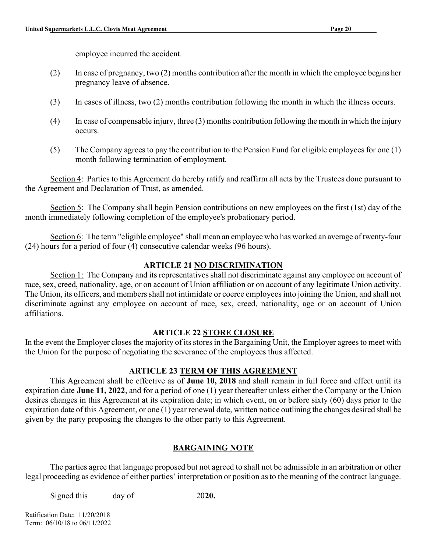employee incurred the accident.

- (2) In case of pregnancy, two (2) months contribution after the month in which the employee begins her pregnancy leave of absence.
- (3) In cases of illness, two (2) months contribution following the month in which the illness occurs.
- (4) In case of compensable injury, three (3) months contribution following the month in which the injury occurs.
- (5) The Company agrees to pay the contribution to the Pension Fund for eligible employees for one (1) month following termination of employment.

Section 4: Parties to this Agreement do hereby ratify and reaffirm all acts by the Trustees done pursuant to the Agreement and Declaration of Trust, as amended.

Section 5: The Company shall begin Pension contributions on new employees on the first (1st) day of the month immediately following completion of the employee's probationary period.

Section 6: The term "eligible employee" shall mean an employee who has worked an average of twenty-four (24) hours for a period of four (4) consecutive calendar weeks (96 hours).

#### ARTICLE 21 NO DISCRIMINATION

Section 1: The Company and its representatives shall not discriminate against any employee on account of race, sex, creed, nationality, age, or on account of Union affiliation or on account of any legitimate Union activity. The Union, its officers, and members shall not intimidate or coerce employees into joining the Union, and shall not discriminate against any employee on account of race, sex, creed, nationality, age or on account of Union affiliations.

#### ARTICLE 22 STORE CLOSURE

In the event the Employer closes the majority of its stores in the Bargaining Unit, the Employer agrees to meet with the Union for the purpose of negotiating the severance of the employees thus affected.

#### **ARTICLE 23 TERM OF THIS AGREEMENT**

This Agreement shall be effective as of June 10, 2018 and shall remain in full force and effect until its expiration date June 11, 2022, and for a period of one (1) year thereafter unless either the Company or the Union desires changes in this Agreement at its expiration date; in which event, on or before sixty (60) days prior to the expiration date of this Agreement, or one (1) year renewal date, written notice outlining the changes desired shall be given by the party proposing the changes to the other party to this Agreement.

## BARGAINING NOTE

The parties agree that language proposed but not agreed to shall not be admissible in an arbitration or other legal proceeding as evidence of either parties' interpretation or position as to the meaning of the contract language.

Signed this day of 2020.

Ratification Date: 11/20/2018 Term: 06/10/18 to 06/11/2022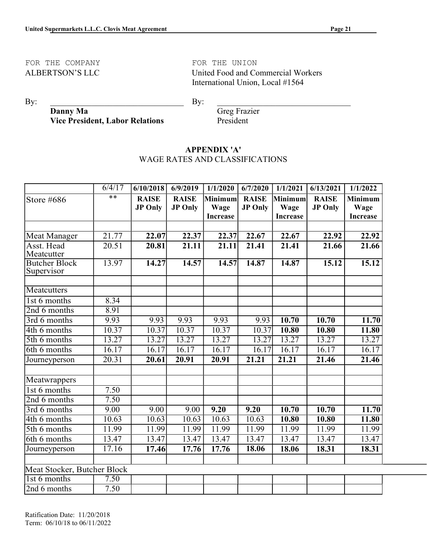FOR THE COMPANY **FOR THE UNION** 

ALBERTSON'S LLC United Food and Commercial Workers International Union, Local #1564

 $\mathbf{By:}$ 

 $\mathbf{By:}$ 

Danny Ma Vice President, Labor Relations  Greg Frazier President

## APPENDIX 'A' WAGE RATES AND CLASSIFICATIONS

|                             | 6/4/17 | 6/10/2018      | 6/9/2019       | 1/1/2020        | 6/7/2020           | 1/1/2021        | 6/13/2021      | 1/1/2022        |
|-----------------------------|--------|----------------|----------------|-----------------|--------------------|-----------------|----------------|-----------------|
| Store #686                  | $**$   | <b>RAISE</b>   | <b>RAISE</b>   | Minimum         | <b>RAISE</b>       | Minimum         | <b>RAISE</b>   | Minimum         |
|                             |        | <b>JP Only</b> | <b>JP Only</b> | Wage            | <b>JP Only</b>     | Wage            | <b>JP Only</b> | Wage            |
|                             |        |                |                | <b>Increase</b> |                    | <b>Increase</b> |                | <b>Increase</b> |
|                             |        |                |                |                 |                    |                 |                |                 |
| Meat Manager                | 21.77  | 22.07          | 22.37          | 22.37           | 22.67              | 22.67           | 22.92          | 22.92           |
| Asst. Head                  | 20.51  | 20.81          | 21.11          | 21.11           | 21.41              | 21.41           | 21.66          | 21.66           |
| Meatcutter                  |        |                |                |                 |                    |                 |                |                 |
| <b>Butcher Block</b>        | 13.97  | 14.27          | 14.57          | 14.57           | 14.87              | 14.87           | 15.12          | 15.12           |
| Supervisor                  |        |                |                |                 |                    |                 |                |                 |
| Meatcutters                 |        |                |                |                 |                    |                 |                |                 |
| 1st 6 months                | 8.34   |                |                |                 |                    |                 |                |                 |
| $2nd 6$ months              | 8.91   |                |                |                 |                    |                 |                |                 |
| 3rd 6 months                | 9.93   | 9.93           | 9.93           | 9.93            | 9.93               | 10.70           | 10.70          | 11.70           |
| 4th 6 months                | 10.37  | 10.37          | 10.37          | 10.37           | 10.37              | 10.80           | 10.80          | 11.80           |
| 5th 6 months                | 13.27  | 13.27          | 13.27          | 13.27           | 13.27              | 13.27           | 13.27          | 13.27           |
| 6th 6 months                | 16.17  | 16.17          | 16.17          | 16.17           | 16.17              | 16.17           | 16.17          | 16.17           |
| Journeyperson               | 20.31  | 20.61          | 20.91          | 20.91           | $\overline{21.21}$ | 21.21           | 21.46          | 21.46           |
| Meatwrappers                |        |                |                |                 |                    |                 |                |                 |
| 1st 6 months                | 7.50   |                |                |                 |                    |                 |                |                 |
| 2nd 6 months                | 7.50   |                |                |                 |                    |                 |                |                 |
| 3rd 6 months                | 9.00   | 9.00           | 9.00           | 9.20            | 9.20               | 10.70           | 10.70          | 11.70           |
| 4th 6 months                | 10.63  | 10.63          | 10.63          | 10.63           | 10.63              | 10.80           | 10.80          | 11.80           |
| 5th 6 months                | 11.99  | 11.99          | 11.99          | 11.99           | 11.99              | 11.99           | 11.99          | 11.99           |
| 6th 6 months                | 13.47  | 13.47          | 13.47          | 13.47           | 13.47              | 13.47           | 13.47          | 13.47           |
| Journeyperson               | 17.16  | 17.46          | 17.76          | 17.76           | 18.06              | 18.06           | 18.31          | 18.31           |
|                             |        |                |                |                 |                    |                 |                |                 |
| Meat Stocker, Butcher Block |        |                |                |                 |                    |                 |                |                 |
| 1st 6 months                | 7.50   |                |                |                 |                    |                 |                |                 |
| $\overline{2nd}$ 6 months   | 7.50   |                |                |                 |                    |                 |                |                 |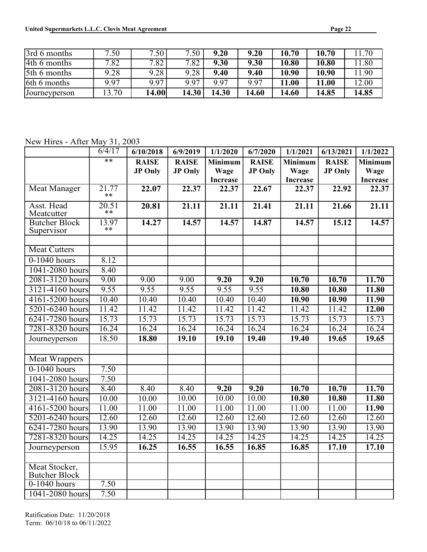| $3rd 6$ months       | 7.50       | 7.50 <sub>1</sub> | 7.50  | 9.20  | 9.20  | 10.70 | 10.70 | .70   |
|----------------------|------------|-------------------|-------|-------|-------|-------|-------|-------|
| $ 4th 6$ months      | 7.82       | 7.82              | 7.82  | 9.30  | 9.30  | 10.80 | 10.80 | 1.80  |
| 5th 6 months         | 9.28       | 9.28              | 9.28  | 9.40  | 9.40  | 10.90 | 10.90 | .90   |
| 6th 6 months         | 9.97       | 9.97              | 997   | 9.97  | 9.97  | .00   | 1.00  | 12.00 |
| <b>Journeyperson</b> | 3.70<br>13 | 14.00             | 14.30 | 14.30 | 14.60 | 14.60 | 14.85 | 14.85 |

#### New Hires - After May 31, 2003

|                      | $-1, 7$<br>6/4/17 | 6/10/2018      | 6/9/2019       | 1/1/2020        | 6/7/2020       | 1/1/2021           | 6/13/2021      | 1/1/2022           |
|----------------------|-------------------|----------------|----------------|-----------------|----------------|--------------------|----------------|--------------------|
|                      | $**$              | <b>RAISE</b>   | <b>RAISE</b>   | <b>Minimum</b>  | <b>RAISE</b>   | <b>Minimum</b>     | <b>RAISE</b>   | <b>Minimum</b>     |
|                      |                   | <b>JP Only</b> | <b>JP Only</b> | Wage            | <b>JP Only</b> | Wage               | <b>JP Only</b> | Wage               |
|                      |                   |                |                | <b>Increase</b> |                | <b>Increase</b>    |                | <b>Increase</b>    |
| Meat Manager         | 21.77<br>$***$    | 22.07          | 22.37          | 22.37           | 22.67          | 22.37              | 22.92          | 22.37              |
| Asst. Head           | 20.51             | 20.81          | 21.11          | 21.11           | 21.41          | $\overline{21.11}$ | 21.66          | $\overline{21.11}$ |
| Meatcutter           | $**$              |                |                |                 |                |                    |                |                    |
| <b>Butcher Block</b> | 13.97             | 14.27          | 14.57          | 14.57           | 14.87          | 14.57              | 15.12          | 14.57              |
| Supervisor           | **                |                |                |                 |                |                    |                |                    |
|                      |                   |                |                |                 |                |                    |                |                    |
| <b>Meat Cutters</b>  |                   |                |                |                 |                |                    |                |                    |
| 0-1040 hours         | 8.12              |                |                |                 |                |                    |                |                    |
| $1041 - 2080$ hours  | 8.40              |                |                |                 |                |                    |                |                    |
| 2081-3120 hours      | 9.00              | 9.00           | 9.00           | 9.20            | 9.20           | 10.70              | 10.70          | 11.70              |
| 3121-4160 hours      | 9.55              | 9.55           | 9.55           | 9.55            | 9.55           | 10.80              | 10.80          | 11.80              |
| 4161-5200 hours      | 10.40             | 10.40          | 10.40          | 10.40           | 10.40          | <b>10.90</b>       | <b>10.90</b>   | <b>11.90</b>       |
| 5201-6240 hours      | 11.42             | 11.42          | 11.42          | 11.42           | 11.42          | 11.42              | 11.42          | 12.00              |
| 6241-7280 hours      | 15.73             | 15.73          | 15.73          | 15.73           | 15.73          | 15.73              | 15.73          | 15.73              |
| 7281-8320 hours      | 16.24             | 16.24          | 16.24          | 16.24           | 16.24          | 16.24              | 16.24          | 16.24              |
| Journeyperson        | 18.50             | 18.80          | 19.10          | 19.10           | 19.40          | 19.40              | 19.65          | 19.65              |
|                      |                   |                |                |                 |                |                    |                |                    |
| <b>Meat Wrappers</b> |                   |                |                |                 |                |                    |                |                    |
| 0-1040 hours         | 7.50              |                |                |                 |                |                    |                |                    |
| 1041-2080 hours      | 7.50              |                |                |                 |                |                    |                |                    |
| 2081-3120 hours      | 8.40              | 8.40           | 8.40           | 9.20            | 9.20           | 10.70              | 10.70          | 11.70              |
| 3121-4160 hours      | 10.00             | 10.00          | 10.00          | 10.00           | 10.00          | 10.80              | 10.80          | 11.80              |
| 4161-5200 hours      | 11.00             | 11.00          | 11.00          | 11.00           | 11.00          | 11.00              | 11.00          | 11.90              |
| 5201-6240 hours      | 12.60             | 12.60          | 12.60          | 12.60           | 12.60          | 12.60              | 12.60          | 12.60              |
| 6241-7280 hours      | 13.90             | 13.90          | 13.90          | 13.90           | 13.90          | 13.90              | 13.90          | 13.90              |
| 7281-8320 hours      | 14.25             | 14.25          | 14.25          | 14.25           | 14.25          | 14.25              | 14.25          | 14.25              |
| Journeyperson        | 15.95             | 16.25          | 16.55          | 16.55           | 16.85          | 16.85              | 17.10          | 17.10              |
|                      |                   |                |                |                 |                |                    |                |                    |
| Meat Stocker,        |                   |                |                |                 |                |                    |                |                    |
| <b>Butcher Block</b> |                   |                |                |                 |                |                    |                |                    |
| 0-1040 hours         | 7.50              |                |                |                 |                |                    |                |                    |
| $1041 - 2080$ hours  | 7.50              |                |                |                 |                |                    |                |                    |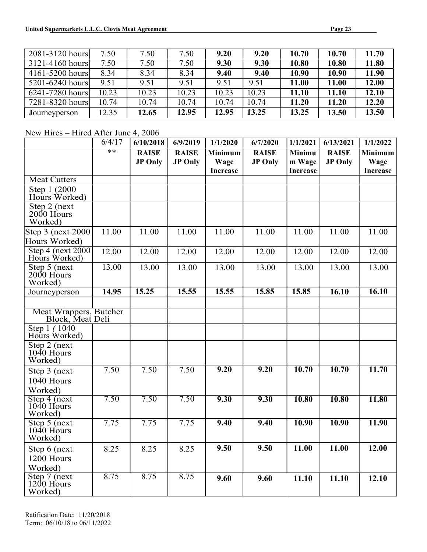| $2081 - 3120$ hours | 7.50  | 7.50  | 7.50  | 9.20  | 9.20  | 10.70 | 10.70 | 11.70 |
|---------------------|-------|-------|-------|-------|-------|-------|-------|-------|
| 3121-4160 hours     | 7.50  | 7.50  | 7.50  | 9.30  | 9.30  | 10.80 | 10.80 | 11.80 |
| $4161 - 5200$ hours | 8.34  | 8.34  | 8.34  | 9.40  | 9.40  | 10.90 | 10.90 | 11.90 |
| 5201-6240 hours     | 9.51  | 9.51  | 9.51  | 9.51  | 9.51  | 11.00 | 11.00 | 12.00 |
| 6241-7280 hours     | 10.23 | 10.23 | 10.23 | 10.23 | 10.23 | 11.10 | 11.10 | 12.10 |
| 7281-8320 hours     | 10.74 | 10.74 | 10.74 | 10.74 | 10.74 | 11.20 | 11.20 | 12.20 |
| Journeyperson       | 12.35 | 12.65 | 12.95 | 12.95 | 13.25 | 13.25 | 13.50 | 13.50 |

## New Hires – Hired After June 4, 2006

|                                                             | $\sqrt{6/4}/17$ | 6/10/2018                      | 6/9/2019                       | 1/1/2020                                  | 6/7/2020                       | 1/1/2021                            | 6/13/2021                      | 1/1/2022                                  |
|-------------------------------------------------------------|-----------------|--------------------------------|--------------------------------|-------------------------------------------|--------------------------------|-------------------------------------|--------------------------------|-------------------------------------------|
|                                                             | $**$            | <b>RAISE</b><br><b>JP Only</b> | <b>RAISE</b><br><b>JP Only</b> | <b>Minimum</b><br>Wage<br><b>Increase</b> | <b>RAISE</b><br><b>JP Only</b> | Minimu<br>m Wage<br><b>Increase</b> | <b>RAISE</b><br><b>JP Only</b> | <b>Minimum</b><br>Wage<br><b>Increase</b> |
| <b>Meat Cutters</b>                                         |                 |                                |                                |                                           |                                |                                     |                                |                                           |
| Step 1 (2000)<br>Hours Worked)                              |                 |                                |                                |                                           |                                |                                     |                                |                                           |
| Step 2 (next<br>2000 Hours<br>Worked)                       |                 |                                |                                |                                           |                                |                                     |                                |                                           |
| Step $3$ (next 2000)<br>Hours Worked)                       | 11.00           | 11.00                          | 11.00                          | 11.00                                     | 11.00                          | 11.00                               | 11.00                          | 11.00                                     |
| Step $4$ (next 2000)<br>Hours Worked)                       | 12.00           | 12.00                          | 12.00                          | 12.00                                     | 12.00                          | 12.00                               | 12.00                          | 12.00                                     |
| Step 5 (next)<br>2000 Hours<br>Worked)                      | 13.00           | 13.00                          | 13.00                          | 13.00                                     | 13.00                          | 13.00                               | 13.00                          | 13.00                                     |
| Journeyperson                                               | 14.95           | 15.25                          | 15.55                          | 15.55                                     | 15.85                          | 15.85                               | 16.10                          | 16.10                                     |
| Meat Wrappers, Butcher<br>Block, Meat Deli<br>Step $1/1040$ |                 |                                |                                |                                           |                                |                                     |                                |                                           |
| Hours Worked)                                               |                 |                                |                                |                                           |                                |                                     |                                |                                           |
| Step 2 (next<br>1040 Hours<br>Worked)                       |                 |                                |                                |                                           |                                |                                     |                                |                                           |
| Step 3 (next<br>1040 Hours<br>Worked)                       | 7.50            | 7.50                           | 7.50                           | 9.20                                      | 9.20                           | 10.70                               | 10.70                          | 11.70                                     |
| Step $4$ (next)<br>$10\overline{40}$ Hours<br>Worked)       | 7.50            | 7.50                           | 7.50                           | 9.30                                      | 9.30                           | 10.80                               | 10.80                          | 11.80                                     |
| Step 5 (next<br>1040 Hours<br>Worked)                       | 7.75            | 7.75                           | 7.75                           | 9.40                                      | 9.40                           | <b>10.90</b>                        | 10.90                          | 11.90                                     |
| Step 6 (next<br>1200 Hours                                  | 8.25            | 8.25                           | 8.25                           | 9.50                                      | 9.50                           | 11.00                               | 11.00                          | 12.00                                     |
| Worked)<br>Step 7 (next)<br>1200 Hours<br>Worked)           | 8.75            | 8.75                           | 8.75                           | 9.60                                      | 9.60                           | 11.10                               | 11.10                          | 12.10                                     |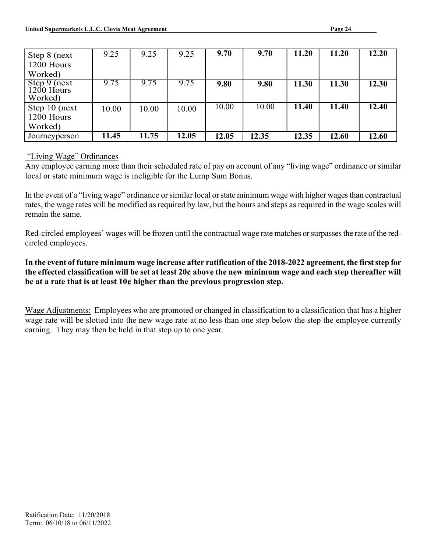| Step 8 (next)                          | 9.25  | 9.25  | 9.25  | 9.70  | 9.70  | 11.20 | 11.20 | 12.20 |
|----------------------------------------|-------|-------|-------|-------|-------|-------|-------|-------|
| 1200 Hours                             |       |       |       |       |       |       |       |       |
| Worked)                                |       |       |       |       |       |       |       |       |
| Step 9 (next)<br>1200 Hours<br>Worked) | 9.75  | 9.75  | 9.75  | 9.80  | 9.80  | 11.30 | 11.30 | 12.30 |
| Step 10 (next)                         | 10.00 | 10.00 | 10.00 | 10.00 | 10.00 | 11.40 | 11.40 | 12.40 |
| 1200 Hours                             |       |       |       |       |       |       |       |       |
| Worked)                                |       |       |       |       |       |       |       |       |
| Journeyperson                          | 11.45 | 11.75 | 12.05 | 12.05 | 12.35 | 12.35 | 12.60 | 12.60 |

#### "Living Wage" Ordinances

Any employee earning more than their scheduled rate of pay on account of any "living wage" ordinance or similar local or state minimum wage is ineligible for the Lump Sum Bonus.

In the event of a "living wage" ordinance or similar local or state minimum wage with higher wages than contractual rates, the wage rates will be modified as required by law, but the hours and steps as required in the wage scales will remain the same.

Red-circled employees' wages will be frozen until the contractual wage rate matches or surpasses the rate of the redcircled employees.

### In the event of future minimum wage increase after ratification of the 2018-2022 agreement, the first step for the effected classification will be set at least  $20¢$  above the new minimum wage and each step thereafter will be at a rate that is at least 10¢ higher than the previous progression step.

Wage Adjustments: Employees who are promoted or changed in classification to a classification that has a higher wage rate will be slotted into the new wage rate at no less than one step below the step the employee currently earning. They may then be held in that step up to one year.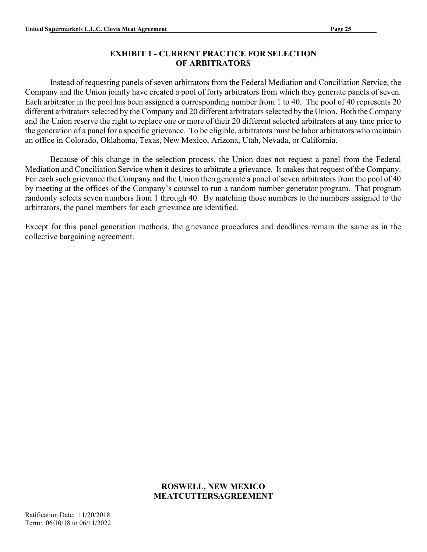## EXHIBIT 1 - CURRENT PRACTICE FOR SELECTION OF ARBITRATORS

Instead of requesting panels of seven arbitrators from the Federal Mediation and Conciliation Service, the Company and the Union jointly have created a pool of forty arbitrators from which they generate panels of seven. Each arbitrator in the pool has been assigned a corresponding number from 1 to 40. The pool of 40 represents 20 different arbitrators selected by the Company and 20 different arbitrators selected by the Union. Both the Company and the Union reserve the right to replace one or more of their 20 different selected arbitrators at any time prior to the generation of a panel for a specific grievance. To be eligible, arbitrators must be labor arbitrators who maintain an office in Colorado, Oklahoma, Texas, New Mexico, Arizona, Utah, Nevada, or California.

 Because of this change in the selection process, the Union does not request a panel from the Federal Mediation and Conciliation Service when it desires to arbitrate a grievance. It makes that request of the Company. For each such grievance the Company and the Union then generate a panel of seven arbitrators from the pool of 40 by meeting at the offices of the Company's counsel to run a random number generator program. That program randomly selects seven numbers from 1 through 40. By matching those numbers to the numbers assigned to the arbitrators, the panel members for each grievance are identified.

Except for this panel generation methods, the grievance procedures and deadlines remain the same as in the collective bargaining agreement.

## ROSWELL, NEW MEXICO MEATCUTTERSAGREEMENT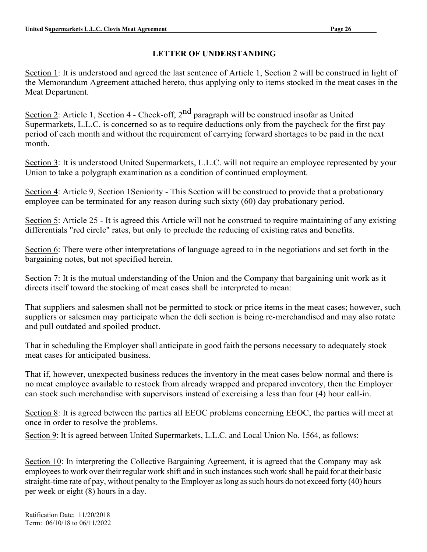## LETTER OF UNDERSTANDING

Section 1: It is understood and agreed the last sentence of Article 1, Section 2 will be construed in light of the Memorandum Agreement attached hereto, thus applying only to items stocked in the meat cases in the Meat Department.

Section 2: Article 1, Section 4 - Check-off,  $2<sup>nd</sup>$  paragraph will be construed insofar as United Supermarkets, L.L.C. is concerned so as to require deductions only from the paycheck for the first pay period of each month and without the requirement of carrying forward shortages to be paid in the next month.

Section 3: It is understood United Supermarkets, L.L.C. will not require an employee represented by your Union to take a polygraph examination as a condition of continued employment.

Section 4: Article 9, Section 1 Seniority - This Section will be construed to provide that a probationary employee can be terminated for any reason during such sixty (60) day probationary period.

Section 5: Article 25 - It is agreed this Article will not be construed to require maintaining of any existing differentials "red circle" rates, but only to preclude the reducing of existing rates and benefits.

Section 6: There were other interpretations of language agreed to in the negotiations and set forth in the bargaining notes, but not specified herein.

Section 7: It is the mutual understanding of the Union and the Company that bargaining unit work as it directs itself toward the stocking of meat cases shall be interpreted to mean:

That suppliers and salesmen shall not be permitted to stock or price items in the meat cases; however, such suppliers or salesmen may participate when the deli section is being re-merchandised and may also rotate and pull outdated and spoiled product.

That in scheduling the Employer shall anticipate in good faith the persons necessary to adequately stock meat cases for anticipated business.

That if, however, unexpected business reduces the inventory in the meat cases below normal and there is no meat employee available to restock from already wrapped and prepared inventory, then the Employer can stock such merchandise with supervisors instead of exercising a less than four (4) hour call-in.

Section 8: It is agreed between the parties all EEOC problems concerning EEOC, the parties will meet at once in order to resolve the problems.

Section 9: It is agreed between United Supermarkets, L.L.C. and Local Union No. 1564, as follows:

Section 10: In interpreting the Collective Bargaining Agreement, it is agreed that the Company may ask employees to work over their regular work shift and in such instances such work shall be paid for at their basic straight-time rate of pay, without penalty to the Employer as long as such hours do not exceed forty (40) hours per week or eight (8) hours in a day.

Ratification Date: 11/20/2018 Term: 06/10/18 to 06/11/2022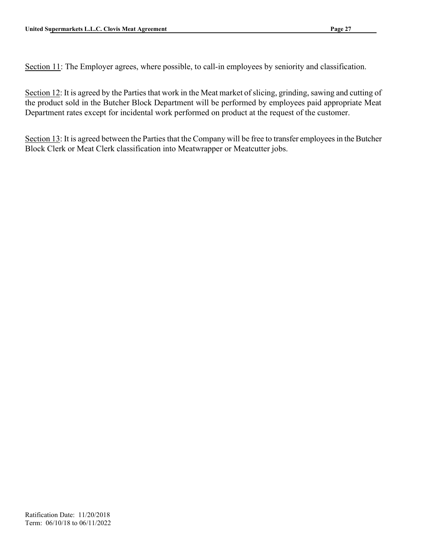Section 11: The Employer agrees, where possible, to call-in employees by seniority and classification.

Section 12: It is agreed by the Parties that work in the Meat market of slicing, grinding, sawing and cutting of the product sold in the Butcher Block Department will be performed by employees paid appropriate Meat Department rates except for incidental work performed on product at the request of the customer.

Section 13: It is agreed between the Parties that the Company will be free to transfer employees in the Butcher Block Clerk or Meat Clerk classification into Meatwrapper or Meatcutter jobs.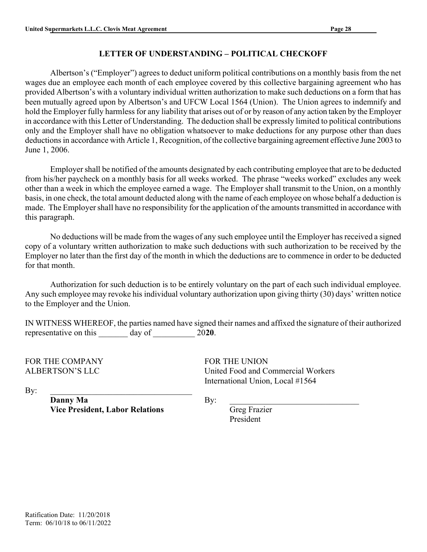#### LETTER OF UNDERSTANDING – POLITICAL CHECKOFF

Albertson's ("Employer") agrees to deduct uniform political contributions on a monthly basis from the net wages due an employee each month of each employee covered by this collective bargaining agreement who has provided Albertson's with a voluntary individual written authorization to make such deductions on a form that has been mutually agreed upon by Albertson's and UFCW Local 1564 (Union). The Union agrees to indemnify and hold the Employer fully harmless for any liability that arises out of or by reason of any action taken by the Employer in accordance with this Letter of Understanding. The deduction shall be expressly limited to political contributions only and the Employer shall have no obligation whatsoever to make deductions for any purpose other than dues deductions in accordance with Article 1, Recognition, of the collective bargaining agreement effective June 2003 to June 1, 2006.

Employer shall be notified of the amounts designated by each contributing employee that are to be deducted from his/her paycheck on a monthly basis for all weeks worked. The phrase "weeks worked" excludes any week other than a week in which the employee earned a wage. The Employer shall transmit to the Union, on a monthly basis, in one check, the total amount deducted along with the name of each employee on whose behalf a deduction is made. The Employer shall have no responsibility for the application of the amounts transmitted in accordance with this paragraph.

No deductions will be made from the wages of any such employee until the Employer has received a signed copy of a voluntary written authorization to make such deductions with such authorization to be received by the Employer no later than the first day of the month in which the deductions are to commence in order to be deducted for that month.

Authorization for such deduction is to be entirely voluntary on the part of each such individual employee. Any such employee may revoke his individual voluntary authorization upon giving thirty (30) days' written notice to the Employer and the Union.

IN WITNESS WHEREOF, the parties named have signed their names and affixed the signature of their authorized representative on this day of 2020.

FOR THE COMPANY FOR THE UNION

ALBERTSON'S LLC United Food and Commercial Workers International Union, Local #1564

 $\mathbf{By:}$ 

Danny Ma Vice President, Labor Relations  $\mathbf{By:}$ 

 Greg Frazier President